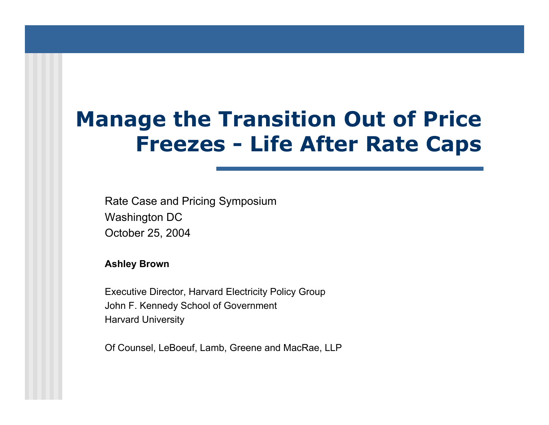# **Manage the Transition Out of Price Freezes - Life After Rate Caps**

Rate Case and Pricing Symposium Washington DC October 25, 2004

**Ashle y Brown**

Executi ve Director, Harvard Electricity Policy Group John F. Kennedy School of Governm ent Harvard University

Of Counsel, LeBoeuf, Lamb, Greene and MacRae, LLP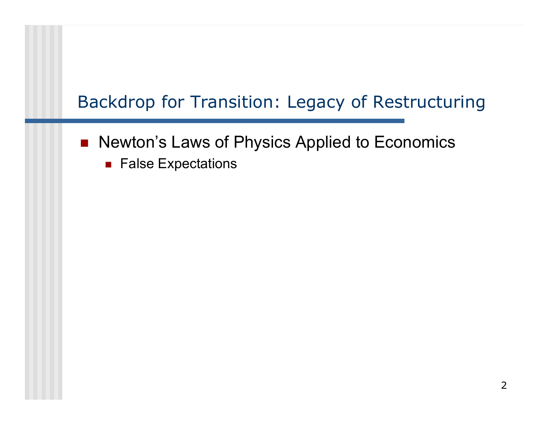## Backdrop for Transition: Legacy of Restructurin g

- Newton's Laws of Physics Applied to Economics
	- $\blacksquare$  False Expectations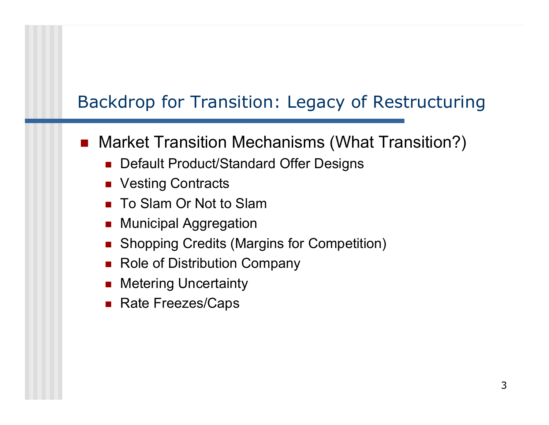## Backdrop for Transition: Legacy of Restructurin g

#### $\overline{\phantom{a}}$ Market Transition Mechanisms (What Transition?)

- Default Product/Standard Offer Designs
- Vesting Contracts
- To Slam Or Not to Slam
- П Municipal Aggregation
- П Shopping Credits (Margins for Competition)
- П Role of Distribution Company
- × Metering Uncertainty
- П Rate Freezes/Caps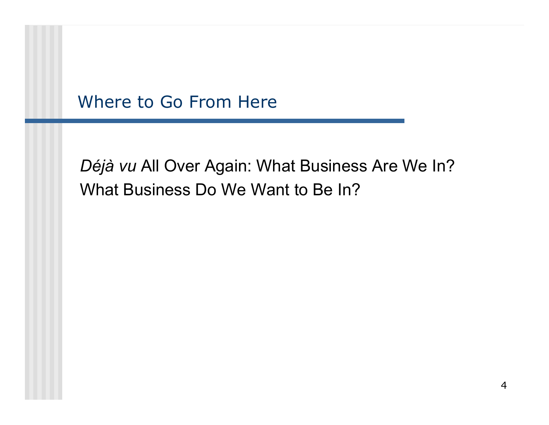#### Where to Go From Here

## *Déjà vu* All Over Again: What Business Are We In? What Business Do We Want to Be In?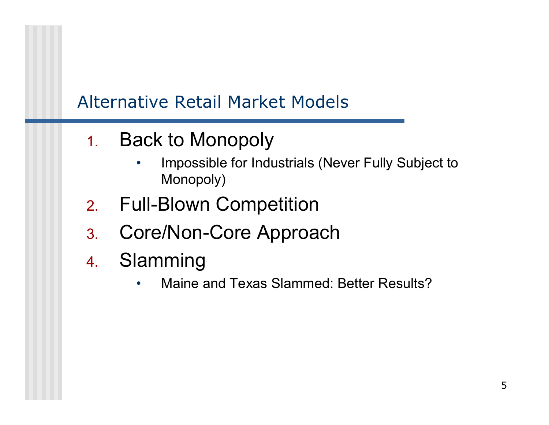## Alternative Retail Market Models

- 1. Back to Monopoly
	- • Impossible for Industrials (Never Fully Subject to Monopoly)
- 2.Full-Blown Competition
- 3.Core/Non-Core Approach
- 4. Slamming
	- $\bullet$ Maine and Texas Slammed: Better Results?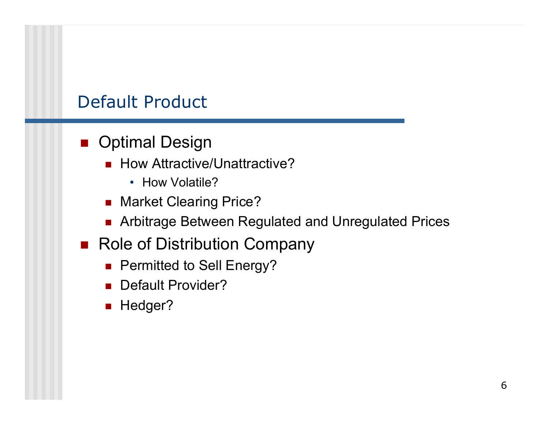#### Default Product

#### ■ Optimal Design

- How Attractive/Unattractive?
	- How Volatile?
- Market Clearing Price?
- Arbitrage Between Regulated and Unregulated Prices
- Role of Distribution Company
	- Permitted to Sell Energy?
	- **Default Provider?**
	- **Hedger?**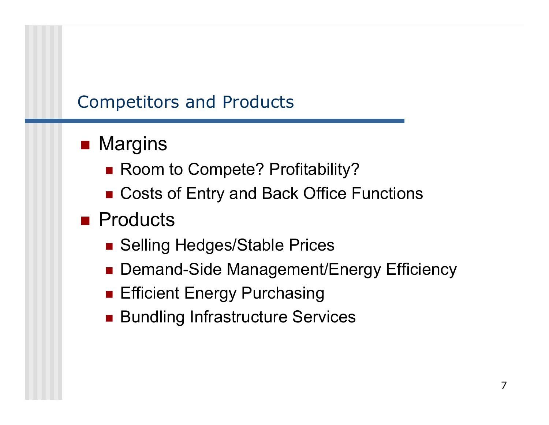#### Competitors and Products

# ■ Margins

- Room to Compete? Profitability?
- Costs of Entry and Back Office Functions
- Products
	- Selling Hedges/Stable Prices
	- Demand-Side Management/Energy Efficiency
	- **Efficient Energy Purchasing**
	- **Bundling Infrastructure Services**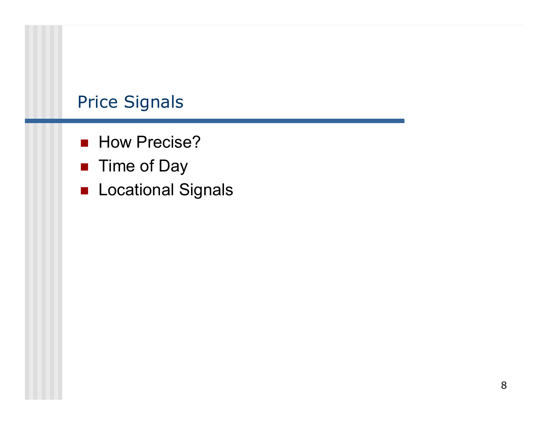#### Price Signals

- **How Precise?**
- Time of Day
- **Locational Signals**